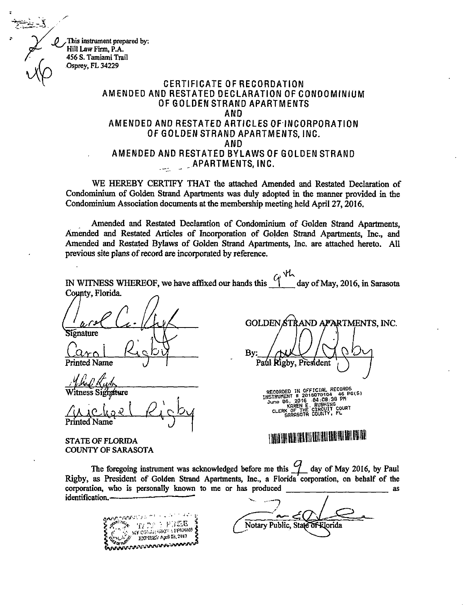This instrument prepared by: Hill Law Firm, P.A. 456 S. Tamiami Trail Osprey, FL 34229

## CERTIFICATE OF RECORDATION AMENDED AND RESTATED DECLARATION OF CONDOMINIUM OF GOLDEN STRAND APARTMENTS AND AMENDED AND RESTATED ARTICLES OFINCORPORATION OF GOLDEN STRAND APARTMENTS, INC. AND AMENDED AND RESTATED BYLAWS OF GOLDEN STRAND APARTMENTS, INC.

WE HEREBY CERTIFY THAT the attached Amended and Restated Declaration of Condominium of Golden Strand Apartments was duly adopted in the manner provided in the Condominium Association documents at the membership meeting held April 27, 2016.

Amended and Restated Declaration of Condominium of Golden Strand Apartments, Amended and Restated Articles of Incorporation of Golden Strand Apartments, Inc., and Amended and Restated Bylaws of Golden Strand Apartments, Inc. are attached hereto. All previous site plans of record are incorporated by reference.

 $\int_{-\infty}^{\infty}$  day of May, 2016, in Sarasota IN WITNESS WHEREOF, we have affixed our hands this County, Florida. ignature  $La_{\rm r}$ t**ed Name** <u>.n.j.i</u> Witness S GOLDEN STRAND APARTMENTS, INC. By: Paul Rigby, President

Witness Signature / achel Kichy Printed Name  $\bigcup$ 

STATE OF FLORIDA COUNTY OF SARASOTA RECORDED IN OFFICIAL RECORDS<br>
INSTRUMENT # 2016070104 46 PG(S)<br>
June 06, 2016 04:08:38 PM<br>
June 06, 2016 04:08:38 PM<br>
KAREN E. RUSHING<br>
CLERK OF THE CIRCUIT COURT<br>
GARASOTA COUNTY, FL

# 11111111111111111111111111111 1111 <sup>1111111</sup>

The foregoing instrument was acknowledged before me this  $\mathcal G$  day of May 2016, by Paul Rigby, as President of Golden Strand Apartments, Inc., a Florida corporation, on behalf of the corporation, who is personally known to me or has produced as identification.

TE Co.: EFLEXION 3803 1999 fok.::"AfF .7n,P.A.COlAtultiv`

Notary Public, State of Rlorida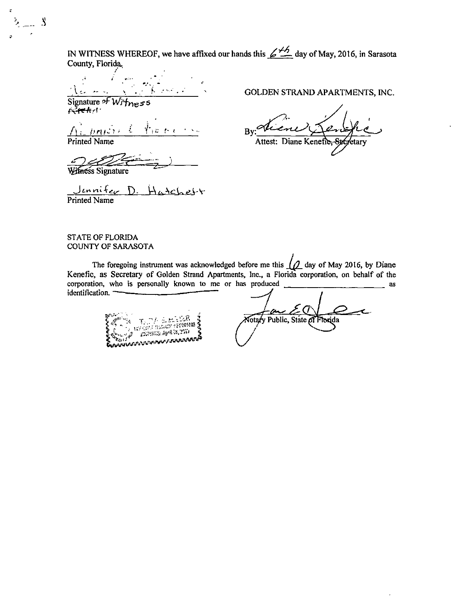IN WITNESS WHEREOF, we have affixed our hands this  $\cancel{\leq 4.6}$  day of May, 2016, in Sarasota County, Florida,

Signature of  $W/\sqrt{m_{\rm B}}$ ss  $\rho$ eve $\kappa$ r!  $^{\circ}$ 

 $E \nvdash t$ 

 $\tilde{\varsigma}$ 

 $\mathbf{S}$ 

thess Signature

<u>Jennifer D. Hatche</u>st Printed Name

GOLDEN STRAND APARTMENTS, INC.

By: Printed Name Attest: Diane Kenefic ⁄etary

#### STATE OF FLORIDA COUNTY OF SARASOTA

The foregoing instrument was acknowledged before me this  $\Lambda$  day of May 2016, by Diane Kenefic, as Secretary of Golden Strand Apartments, Inc., a Florida corporation, on behalf of the corporation, who is personally known to me or has produced as identification.

**Tanish ang Kabupatèn A** 

Notary Public, State of Florida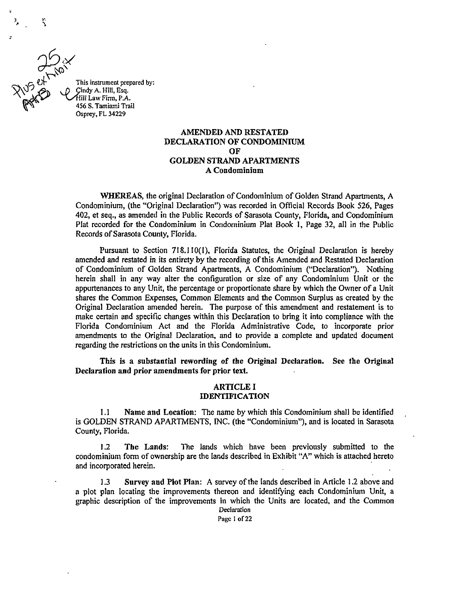15 \$iT This instrument prepared by: Cindy A. Hill, Esq.<br>Hill Law Firm, P.A. 456 S. Tamiami Trail Osprey, FL 34229

 $\ddot{ }$ 

#### AMENDED AND RESTATED DECLARATION OF CONDOMINIUM OF GOLDEN STRAND APARTMENTS A Condominium

WHEREAS, the original Declaration of Condominium of Golden Strand Apartments, A Condominium, (the "Original Declaration") was recorded in Official Records Book 526, Pages 402, et seq., as amended in the Public Records of Sarasota County, Florida, and Condominium Plat recorded for the Condominium in Condominium Plat Book 1, Page 32, all in the Public Records of Sarasota County, Florida.

Pursuant to Section 718.110(1), Florida Statutes, the Original Declaration is hereby amended and restated in its entirety by the recording of this Amended and Restated Declaration of Condominium of Golden Strand Apartments, A Condominium ("Declaration"). Nothing herein shall in any way alter the configuration or size of any Condominium Unit or the appurtenances to any Unit, the percentage or proportionate share by which the Owner of a Unit shares the Common Expenses, Common Elements and the Common Surplus as created by the Original Declaration amended herein. The purpose of this amendment and restatement is to make certain and specific changes within this Declaration to bring it into compliance with the Florida Condominium Act and the Florida Administrative Code, to incorporate prior amendments to the Original Declaration, and to provide a complete and updated document regarding the restrictions on the units in this Condominium.

This is a substantial rewording of the Original Declaration. See the Original Declaration and prior amendments for prior text.

#### ARTICLE I IDENTIFICATION

1.1 Name and Location: The name by which this Condominium shall be identified is GOLDEN STRAND APARTMENTS, INC. (the "Condominium"), and is located in Sarasota County, Florida.

1.2 The Lands: The lands which have been previously submitted to the condominium form of ownership are the lands described in Exhibit "A" which is attached hereto and incorporated herein.

1.3 Survey and Plot Plan: A survey of the lands described in Article 1.2 above and a plot plan locating the improvements thereon and identifying each Condominium Unit, a graphic description of the improvements in which the Units are located, and the Common

Declaration Page I of 22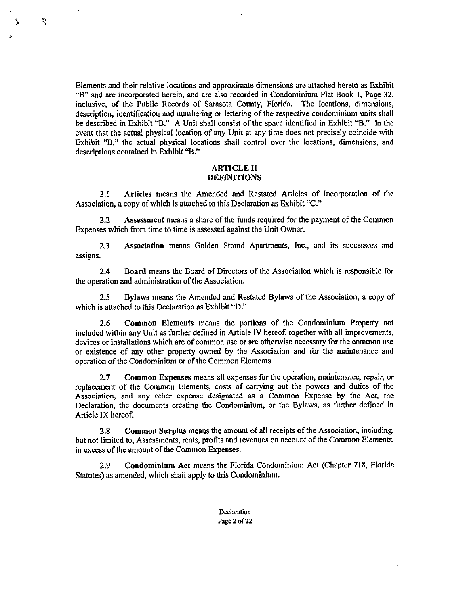Elements and their relative locations and approximate dimensions are attached hereto as Exhibit "B" and are incorporated herein, and are also recorded in Condominium Plat Book 1, Page 32, inclusive, of the Public Records of Sarasota County, Florida. The locations, dimensions, description, identification and numbering or lettering of the respective condominium units shall be described in Exhibit "B." A Unit shall consist of the space identified in Exhibit "B." In the event that the actual physical location of any Unit at any time does not precisely coincide with Exhibit "B," the actual physical locations shall control over the locations, dimensions, and descriptions contained in Exhibit "B."

 $\hat{\mathbf{z}}$ 

#### ARTICLE II DEFINITIONS

2.1 Articles means the Amended and Restated Articles of Incorporation of the Association, a copy of which is attached to this Declaration as Exhibit "C."

2.2 Assessment means a share of the funds required for the payment of the Common Expenses which from time to time is assessed against the Unit Owner.

2.3 Association means Golden Strand Apartments, Inc., and its successors and assigns.

2.4 Board means the Board of Directors of the Association which is responsible for the operation and administration of the Association.

2.5 Bylaws means the Amended and Restated Bylaws of the Association, a copy of which is attached to this Declaration as Exhibit "D."

2.6 Common Elements means the portions of the Condominium Property not included within any Unit as further defined in Article IV hereof, together with all improvements, devices or installations which are of common use or are otherwise necessary for the common use or existence of any other property owned by the Association and for the maintenance and operation of the Condominium or of the Common Elements.

2.7 Common Expenses means all expenses for the operation, maintenance, repair, or replacement of the Common Elements, costs of carrying out the powers and duties of the Association, and any other expense designated as a Common Expense by the Act, the Declaration, the documents creating the Condominium, or the Bylaws, as further defined in Article IX hereof.

2.8 Common Surplus means the amount of all receipts of the Association, including, but not limited to, Assessments, rents, profits and revenues on account of the Common Elements, in excess of the amount of the Common Expenses.

2.9 Condominium Act means the Florida Condominium Act (Chapter 718, Florida Statutes) as amended, which shall apply to this Condominium.

> Declaration Page 2 of 22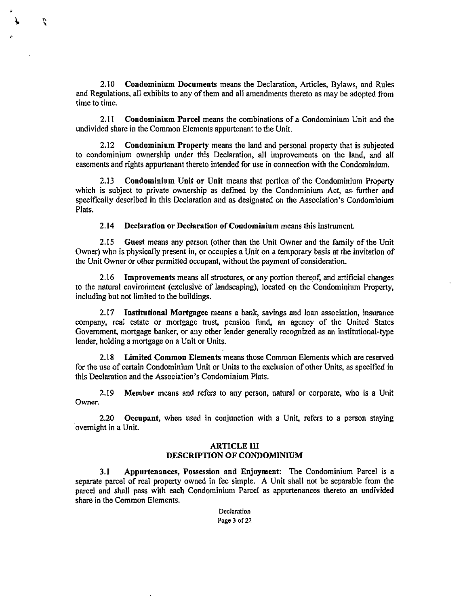2.10 Condominium Documents means the Declaration, Articles, Bylaws, and Rules and Regulations, all exhibits to any of them and all amendments thereto as may be adopted from time to time.

Ñ

2.11 Condominium Parcel means the combinations of a Condominium Unit and the undivided share in the Common Elements appurtenant to the Unit.

2.12 Condominium Property means the land and personal property that is subjected to condominium ownership under this Declaration, all improvements on the land, and all easements and rights appurtenant thereto intended for use in connection with the Condominium.

2.13 Condominium Unit or Unit means that portion of the Condominium Property which is subject to private ownership as defined by the Condominium Act, as further and specifically described in this Declaration and as designated on the Association's Condominium Plats.

2.14 Declaration or Declaration of Condominium means this instrument.

2.15 Guest means any person (other than the Unit Owner and the family of the Unit Owner) who is physically present in, or occupies a Unit on a temporary basis at the invitation of the Unit Owner or other permitted occupant, without the payment of consideration.

2.16 Improvements means all structures, or any portion thereof, and artificial changes to the natural environment (exclusive of landscaping), located on the Condominium Property, including but not limited to the buildings.

2.17 Institutional Mortgagee means a bank, savings and loan association, insurance company, real estate or mortgage trust, pension fund, an agency of the United States Government, mortgage banker, or any other lender generally recognized as an institutional-type lender, holding a mortgage on a Unit or Units.

2.18 Limited Common Elements means those Common Elements which are reserved for the use of certain Condominium Unit or Units to the exclusion of other Units, as specified in this Declaration and the Association's Condominium Plats.

2.19 Member means and refers to any person, natural or corporate, who is a Unit Owner.

2.20 Occupant, when used in conjunction with a Unit, refers to a person staying overnight in a Unit.

#### ARTICLE III DESCRIPTION OF CONDOMINIUM

3.1 Appurtenances, Possession and Enjoyment: The Condominium Parcel is a separate parcel of real property owned in fee simple. A Unit shall not be separable from the parcel and shall pass with each Condominium Parcel as appurtenances thereto an undivided share in the Common Elements.

> **Declaration** Page 3 of 22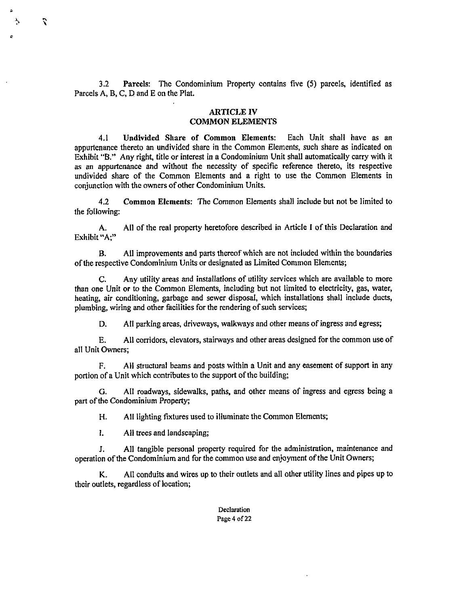3.2 Parcels: The Condominium Property contains five (5) parcels, identified as Parcels A, B, C, D and E on the Plat.

#### ARTICLE IV COMMON ELEMENTS

4.1 Undivided Share of Common Elements: Each Unit shall have as an appurtenance thereto an undivided share in the Common Elements, such share as indicated on Exhibit "B." Any right, title or interest in a Condominium Unit shall automatically carry with it as an appurtenance and without the necessity of specific reference thereto, its respective undivided share of the Common Elements and a right to use the Common Elements in conjunction with the owners of other Condominium Units.

4.2 Common Elements: The Common Elements shall include but not be limited to the following:

A. All of the real property heretofore described in Article I of this Declaration and Exhibit "A;"

B. All improvements and parts thereof which are not included within the boundaries of the respective Condominium Units or designated as Limited Common Elements;

C. Any utility areas and installations of utility services which are available to more than one Unit or to the Common Elements, including but not limited to electricity, gas, water, heating, air conditioning, garbage and sewer disposal, which installations shall include ducts, plumbing, wiring and other facilities for the rendering of such services;

D. All parking areas, driveways, walkways and other means of ingress and egress;

E. All corridors, elevators, stairways and other areas designed for the common use of all Unit Owners;

F. All structural beams and posts within a Unit and any easement of support in any portion of a Unit which contributes to the support of the building;

G. All roadways, sidewalks, paths, and other means of ingress and egress being a part of the Condominium Property;

H. All lighting fixtures used to illuminate the Common Elements;

1. All trees and landscaping;

 $\ddot{\phantom{0}}$ 

J. All tangible personal property required for the administration, maintenance and operation of the Condominium and for the common use and enjoyment of the Unit Owners;

K. All conduits and wires up to their outlets and all other utility lines and pipes up to their outlets, regardless of location;

> Declaration Page 4 of 22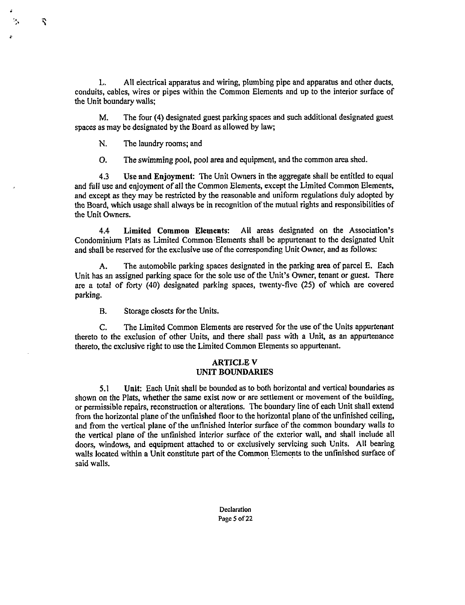L. All electrical apparatus and wiring, plumbing pipe and apparatus and other ducts, conduits, cables, wires or pipes within the Common Elements and up to the interior surface of the Unit boundary walls;

M. The four (4) designated guest parking spaces and such additional designated guest spaces as may be designated by the Board as allowed by law;

N. The laundry rooms; and

b,

 $\mathbf{S}$ 

0. The swimming pool, pool area and equipment, and the common area shed.

4.3 Use and Enjoyment: The Unit Owners in the aggregate shall be entitled to equal and full use and enjoyment of all the Common Elements, except the Limited Common Elements, and except as they may be restricted by the reasonable and uniform regulations duly adopted by the Board, which usage shall always be in recognition of the mutual rights and responsibilities of the Unit Owners.

4.4 Limited Common Elements: All areas designated on the Association's Condominium Plats as Limited Common Elements shall be appurtenant to the designated Unit and shall be reserved for the exclusive use of the corresponding Unit Owner, and as follows:

A. The automobile parking spaces designated in the parking area of parcel E. Each Unit has an assigned parking space for the sole use of the Unit's Owner, tenant or guest. There are a total of forty (40) designated parking spaces, twenty-five (25) of which are covered parking.

B. Storage closets for the Units.

C. The Limited Common Elements are reserved for the use of the Units appurtenant thereto to the exclusion of other Units, and there shall pass with a Unit, as an appurtenance thereto, the exclusive right to use the Limited Common Elements so appurtenant.

#### ARTICLE V UNIT BOUNDARIES

5.1 Unit: Each Unit shall be bounded as to both horizontal and vertical boundaries as shown on the Plats, whether the same exist now or are settlement or movement of the building, or permissible repairs, reconstruction or alterations. The boundary line of each Unit shall extend from the horizontal plane of the unfinished floor to the horizontal plane of the unfinished ceiling, and from the vertical plane of the unfinished interior surface of the common boundary walls to the vertical plane of the unfinished interior surface of the exterior wall, and shall include all doors, windows, and equipment attached to or exclusively servicing such Units. All bearing walls located within a Unit constitute part of the Common Elements to the unfinished surface of said walls.

> **Declaration** Page 5 of 22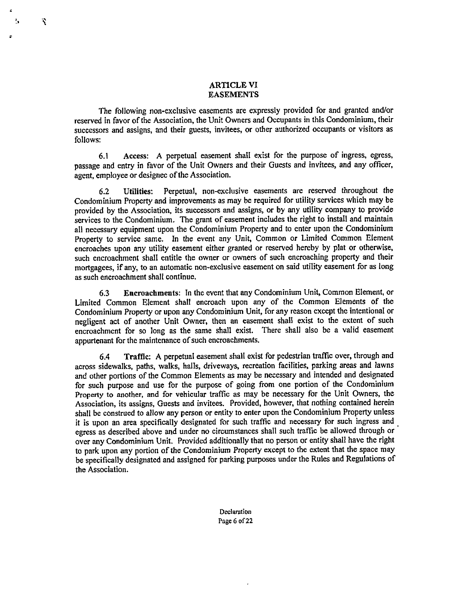#### ARTICLE VI **EASEMENTS**

Ŕ

۸,

The following non-exclusive easements are expressly provided for and granted and/or reserved in favor of the Association, the Unit Owners and Occupants in this Condominium, their successors and assigns, and their guests, invitees, or other authorized occupants or visitors as follows:

6.1 Access: A perpetual easement shall exist for the purpose of ingress, egress, passage and entry in favor of the Unit Owners and their Guests and invitees, and any officer, agent, employee or designee of the Association.

6.2 Utilities: Perpetual, non-exclusive easements are reserved throughout the Condominium Property and improvements as may be required for utility services which may be provided by the Association, its successors and assigns, or by any utility company to provide services to the Condominium. The grant of easement includes the right to install and maintain all necessary equipment upon the Condominium Property and to enter upon the Condominium Property to service same. In the event any Unit, Common or Limited Common Element encroaches upon any utility easement either granted or reserved hereby by plat or otherwise, such encroachment shall entitle the owner or owners of such encroaching property and their mortgagees, if any, to an automatic non-exclusive easement on said utility easement for as long as such encroachment shall continue.

6.3 Encroachments: In the event that any Condominium Unit, Common Element, or Limited Common Element shall encroach upon any of the Common Elements of the Condominium Property or upon any Condominium Unit, for any reason except the intentional or negligent act of another Unit Owner, then an easement shall exist to the extent of such encroachment for so long as the same shall exist. There shall also be a valid easement appurtenant for the maintenance of such encroachments.

6.4 Traffic: A perpetual easement shall exist for pedestrian traffic over, through and across sidewalks, paths, walks, halls, driveways, recreation facilities, parking areas and lawns and other portions of the Common Elements as may be necessary and intended and designated for such purpose and use for the purpose of going from one portion of the Condominium Property to another, and for vehicular traffic as may be necessary for the Unit Owners, the Association, its assigns, Guests and invitees. Provided, however, that nothing contained herein shall be construed to allow any person or entity to enter upon the Condominium Property unless it is upon an area specifically designated for such traffic and necessary for such ingress and egress as described above and under no circumstances shall such traffic be allowed through or over any Condominium Unit. Provided additionally that no person or entity shall have the right to park upon any portion of the Condominium Property except to the extent that the space may be specifically designated and assigned for parking purposes under the Rules and Regulations of the Association.

> Declaration Page 6 of 22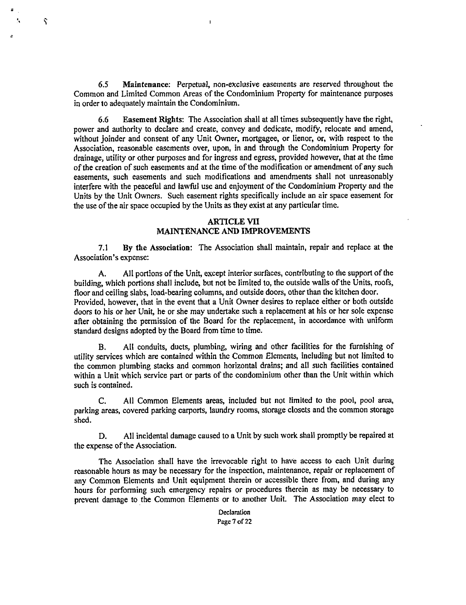6.5 Maintenance: Perpetual, non-exclusive easements are reserved throughout the Common and Limited Common Areas of the Condominium Property for maintenance purposes in order to adequately maintain the Condominium.

 $\mathbf{I}$ 

٢

6.6 Easement Rights: The Association shall at all times subsequently have the right, power and authority to declare and create, convey and dedicate, modify, relocate and amend, without joinder and consent of any Unit Owner, mortgagee, or lienor, or, with respect to the Association, reasonable easements over, upon, in and through the Condominium Property for drainage, utility or other purposes and for ingress and egress, provided however, that at the time of the creation of such easements and at the time of the modification or amendment of any such easements, such easements and such modifications and amendments shall not unreasonably interfere with the peaceful and lawful use and enjoyment of the Condominium Property and the Units by the Unit Owners. Such easement rights specifically include an air space easement for the use of the air space occupied by the Units as they exist at any particular time.

#### ARTICLE VII MAINTENANCE AND IMPROVEMENTS

7.1 By the Association: The Association shall maintain, repair and replace at the Association's expense:

A. All portions of the Unit, except interior surfaces, contributing to the support of the building, which portions shall include, but not be limited to, the outside walls of the Units, roofs, floor and ceiling slabs, load-bearing columns, and outside doors, other than the kitchen door. Provided, however, that in the event that a Unit Owner desires to replace either or both outside doors to his or her Unit, he or she may undertake such a replacement at his or her sole expense after obtaining the permission of the Board for the replacement, in accordance with uniform standard designs adopted by the Board from time to time.

B. All conduits, ducts, plumbing, wiring and other facilities for the furnishing of utility services which are contained within the Common Elements, including but not limited to the common plumbing stacks and common horizontal drains; and all such facilities contained within a Unit which service part or parts of the condominium other than the Unit within which such is contained.

C. All Common Elements areas, included but not limited to the pool, pool area, parking areas, covered parking carports, laundry rooms, storage closets and the common storage shed.

D. All incidental damage caused to a Unit by such work shall promptly be repaired at the expense of the Association.

The Association shall have the irrevocable right to have access to each Unit during reasonable hours as may be necessary for the inspection, maintenance, repair or replacement of any Common Elements and Unit equipment therein or accessible there from, and during any hours for performing such emergency repairs or procedures therein as may be necessary to prevent damage to the Common Elements or to another Unit. The Association may elect to

> Declaration Page 7 of 22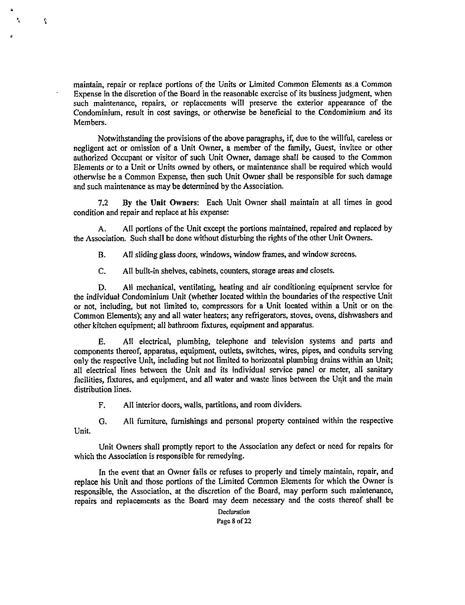maintain, repair or replace portions of the Units or Limited Common Elements as .a Common Expense in the discretion of the Board in the reasonable exercise of its business judgment, when such maintenance, repairs, or replacements will preserve the exterior appearance of the Condominium, result in cost savings, or otherwise be beneficial to the Condominium and its Members.

ł,

Notwithstanding the provisions of the above paragraphs, if, due to the willful, careless or negligent act or omission of a Unit Owner, a member of the family, Guest, invitee or other authorized Occupant or visitor of such Unit Owner, damage shall be caused to the Common Elements or to a Unit or Units owned by others, or maintenance shall be required which would otherwise be a Common Expense, then such Unit Owner shall be responsible for such damage and such maintenance as may be determined by the Association.

7.2 By the Unit Owners: Each Unit Owner shall maintain at all times in good condition and repair and replace at his expense:

A. All portions of the Unit except the portions maintained, repaired and replaced by the Association. Such shall be done without disturbing the rights of the other Unit Owners.

B. All sliding glass doors, windows, window frames, and window screens.

C. All built-in shelves, cabinets, counters, storage areas and closets.

D. All mechanical, ventilating, heating and air conditioning equipment service for the individual Condominium Unit (whether located within the boundaries of the respective Unit or not, including, but not limited to, compressors for a Unit located within a Unit or on the Common Elements); any and all water heaters; any refrigerators, stoves, ovens, dishwashers and other kitchen equipment; all bathroom fixtures, equipment and apparatus.

E. All electrical, plumbing, telephone and television systems and parts and components thereof, apparatus, equipment, outlets, switches, wires, pipes, and conduits serving only the respective Unit, including but not limited to horizontal plumbing drains within an Unit; all electrical lines between the Unit and its individual service panel or meter, all sanitary facilities, fixtures, and equipment, and all water and waste lines between the Unit and the main distribution lines.

F. All interior doors, walls, partitions, and room dividers.

G. All furniture, furnishings and personal property contained within the respective Unit.

Unit Owners shall promptly report to the Association any defect or need for repairs for which the Association is responsible for remedying.

In the event that an Owner fails or refuses to properly and timely maintain, repair, and replace his Unit and those portions of the Limited Common Elements for which the Owner is responsible, the Association, at the discretion of the Board, may perform such maintenance, repairs and replacements as the Board may deem necessary and the costs thereof shall be

> Declaration Page 8 of 22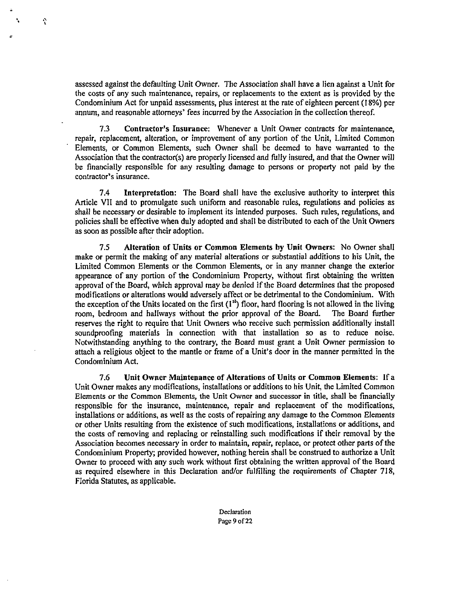assessed against the defaulting Unit Owner. The Association shall have a lien against a Unit for the costs of any such maintenance, repairs, or replacements to the extent as is provided by the Condominium Act for unpaid assessments, plus interest at the rate of eighteen percent (18%) per annum, and reasonable attorneys' fees incurred by the Association in the collection thereof.

 $\hat{c}$ 

7.3 Contractor's Insurance: Whenever a Unit Owner contracts for maintenance, repair, replacement, alteration, or improvement of any portion of the Unit, Limited Common Elements, or Common Elements, such Owner shall be deemed to have warranted to the Association that the contractor(s) are properly licensed and fully insured, and that the Owner will be financially responsible for any resulting damage to persons or property not paid by the contractor's insurance.

7.4 Interpretation: The Board shall have the exclusive authority to interpret this Article VII and to promulgate such uniform and reasonable rules, regulations and policies as shall be necessary or desirable to implement its intended purposes. Such rules, regulations, and policies shall be effective when duly adopted and shall be distributed to each of the Unit Owners as soon as possible after their adoption.

7.5 Alteration of Units or Common Elements by Unit Owners: No Owner shall make or permit the making of any material alterations or substantial additions to his Unit, the Limited Common Elements or the Common Elements, or in any manner change the exterior appearance of any portion of the Condominium Property, without first obtaining the written approval of the Board, which approval may be denied if the Board determines that the proposed modifications or alterations would adversely affect or be detrimental to the Condominium. With the exception of the Units located on the first  $(1^{st})$  floor, hard flooring is not allowed in the living room, bedroom and hallways without the prior approval of the Board. The Board further reserves the right to require that Unit Owners who receive such permission additionally install soundproofing materials in connection with that installation so as to reduce noise. Notwithstanding anything to the contrary, the Board must grant a Unit Owner permission to attach a religious object to the mantle or frame of a Unit's door in the manner permitted in the Condominium Act.

7.6 Unit Owner Maintenance of Alterations of Units or Common Elements: If a Unit Owner makes any modifications, installations or additions to his Unit, the Limited Common Elements or the Common Elements, the Unit Owner and successor in title, shall be financially responsible for the insurance, maintenance, repair and replacement of the modifications, installations or additions, as well as the costs of repairing any damage to the Common Elements or other Units resulting from the existence of such modifications, installations or additions, and the costs of removing and replacing or reinstalling such modifications if their removal by the Association becomes necessary in order to maintain, repair, replace, or protect other parts of the Condominium Property; provided however, nothing herein shall be construed to authorize a Unit Owner to proceed with any such work without first obtaining the written approval of the Board as required elsewhere in this Declaration and/or fulfilling the requirements of Chapter 718, Florida Statutes, as applicable.

> **Declaration** Page 9 of 22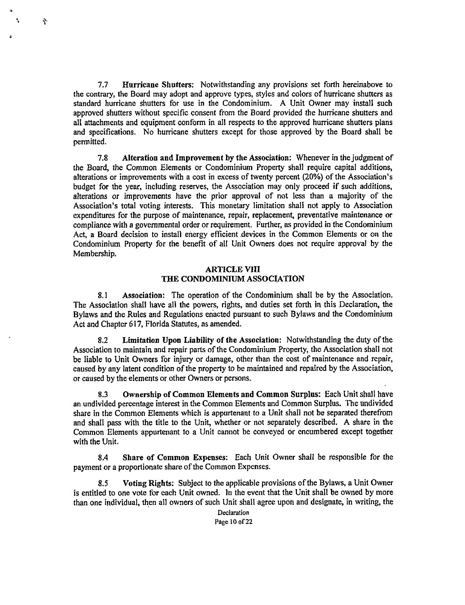7.7 Hurricane Shutters: Notwithstanding any provisions set forth hereinabove to the contrary, the Board may adopt and approve types, styles and colors of hurricane shutters as standard hurricane shutters for use in the Condominium. A Unit Owner may install such approved shutters without specific consent from the Board provided the hurricane shutters and all attachments and equipment conform in all respects to the approved hurricane shutters plans and specifications. No hurricane shutters except for those approved by the Board shall be permitted.

 $\mathbf{\hat{i}}$ 

7.8 Alteration and Improvement by the Association: Whenever in the judgment of the Board, the Common Elements or Condominium Property shall require capital additions, alterations or improvements with a cost in excess of twenty percent (20%) of the Association's budget for the year, including reserves, the Association may only proceed if such additions, alterations or improvements have the prior approval of not less than a majority of the Association's total voting interests. This monetary limitation shall not apply to Association expenditures for the purpose of maintenance, repair, replacement, preventative maintenance or compliance with a governmental order or requirement. Further, as provided in the Condominium Act, a Board decision to install energy efficient devices in the Common Elements or on the Condominium Property for the benefit of all Unit Owners does not require approval by the Membership.

#### **ARTICLE VIII** THE CONDOMINIUM ASSOCIATION

8.1 Association: The operation of the Condominium shall be by the Association. The Association shall have all the powers, rights, and duties set forth in this Declaration, the Bylaws and the Rules and Regulations enacted pursuant to such Bylaws and the Condominium Act and Chapter 617, Florida Statutes, as amended.

8.2 Limitation Upon Liability of the Association: Notwithstanding the duty of the Association to maintain and repair parts of the Condominium Property, the Association shall not be liable to Unit Owners for injury or damage, other than the cost of maintenance and repair, caused by any latent condition of the property to be maintained and repaired by the Association, or caused by the elements or other Owners or persons.

8.3 Ownership of Common Elements and Common Surplus: Each Unit shall have an undivided percentage interest in the Common Elements and Common Surplus. The undivided share in the Common Elements which is appurtenant to a Unit shall not be separated therefrom and shall pass with the title to the Unit, whether or not separately described. A share in the Common Elements appurtenant to a Unit cannot be conveyed or encumbered except together with the Unit.

8A Share of Common Expenses: Each Unit Owner shall be responsible for the payment or a proportionate share of the Common Expenses.

8.5 Voting Rights: Subject to the applicable provisions of the Bylaws, a Unit Owner is entitled to one vote for each Unit owned. In the event that the Unit shall be owned by more than one individual, then all owners of such Unit shall agree upon and designate, in writing, the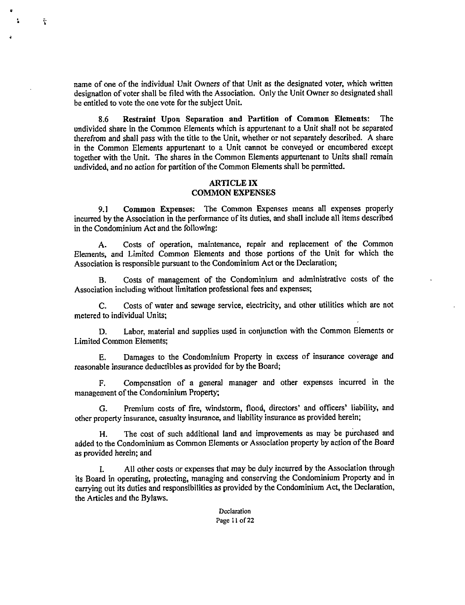name of one of the individual Unit Owners of that Unit as the designated voter, which written designation of voter shall be filed with the Association. Only the Unit Owner so designated shall be entitled to vote the one vote for the subject Unit.

 $\tilde{\mathbf{Y}}$ 

8.6 Restraint Upon Separation and Partition of Common Elements: The undivided share in the Common Elements which is appurtenant to a Unit shall not be separated therefrom and shall pass with the title to the Unit, whether or not separately described. A share in the Common Elements appurtenant to a Unit cannot be conveyed or encumbered except together with the Unit. The shares in the Common Elements appurtenant to Units shall remain undivided, and no action for partition of the Common Elements shall be permitted.

#### ARTICLE IX COMMON EXPENSES

9.1 Common Expenses: The Common Expenses means all expenses properly incurred by the Association in the performance of its duties, and shall include all items described in the Condominium Act and the following:

A. Costs of operation, maintenance, repair and replacement of the Common Elements, and Limited Common Elements and those portions of the Unit for which the Association is responsible pursuant to the Condominium Act or the Declaration;

B. Costs of management of the Condominium and administrative costs of the Association including without limitation professional fees and expenses;

C. Costs of water and sewage service, electricity, and other utilities which are not metered to individual Units;

D. Labor, material and supplies used in conjunction with the Common Elements or Limited Common Elements;

E. Damages to the Condominium Property in excess of insurance coverage and reasonable insurance deductibles as provided for by the Board;

F. Compensation of a general manager and other expenses incurred in the management of the Condominium Property;

G. Premium costs of fire, windstorm, flood, directors' and officers' liability, and other property insurance, casualty insurance, and liability insurance as provided herein;

H. The cost of such additional land and improvements as may be purchased and added to the Condominium as Common Elements or Association property by action of the Board as provided herein; and

I. All other costs or expenses that may be duly incurred by the Association through its Board in operating, protecting, managing and conserving the Condominium Property and in carrying out its duties and responsibilities as provided by the Condominium Act, the Declaration, the Articles and the Bylaws.

> Declaration Page 11 of 22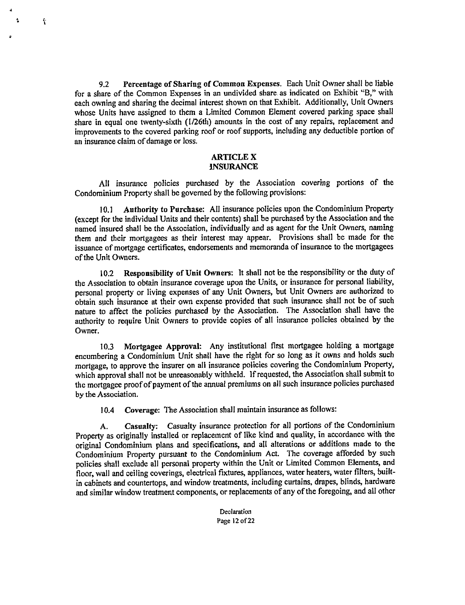9.2 Percentage of Sharing of Common Expenses. Each Unit Owner shall be liable for a share of the Common Expenses in an undivided share as indicated on Exhibit "B," with each owning and sharing the decimal interest shown on that Exhibit. Additionally, Unit Owners whose Units have assigned to them a Limited Common Element covered parking space shall share in equal one twenty-sixth (I/26th) amounts in the cost of any repairs, replacement and improvements to the covered parking roof or roof supports, including any deductible portion of an insurance claim of damage or loss.

Y

#### ARTICLE X INSURANCE

All insurance policies purchased by the Association covering portions of the Condominium Property shall be governed by the following provisions:

10.1 Authority to Purchase: All insurance policies upon the Condominium Property (except for the individual Units and their contents) shall be purchased by the Association and the named insured shall be the Association, individually and as agent for the Unit Owners, naming them and their mortgagees as their interest may appear. Provisions shall be made for the issuance of mortgage certificates, endorsements and memoranda of insurance to the mortgagees of the Unit Owners.

10.2 Responsibility of Unit Owners: It shall not be the responsibility or the duty of the Association to obtain insurance coverage upon the Units, or insurance for personal liability, personal property or living expenses of any Unit Owners, but Unit Owners are authorized to obtain such insurance at their own expense provided that such insurance shall not be of such nature to affect the policies purchased by the Association. The Association shall have the authority to require Unit Owners to provide copies of all insurance policies obtained by the Owner.

10.3 Mortgagee Approval: Any institutional first mortgagee holding a mortgage encumbering a Condominium Unit shall have the right for so long as it owns and holds such mortgage, to approve the insurer on all insurance policies covering the Condominium Property, which approval shall not be unreasonably withheld. If requested, the Association shall submit to the mortgagee proof of payment of the annual premiums on all such insurance policies purchased by the Association.

10.4 Coverage: The Association shall maintain insurance as follows:

A. Casualty: Casualty insurance protection for all portions of the Condominium Property as originally installed or replacement of like kind and quality, in accordance with the original Condominium plans and specifications, and all alterations or additions made to the Condominium Property pursuant to the Condominium Act. The coverage afforded by such policies shall exclude all personal property within the Unit or Limited Common Elements, and floor, wall and ceiling coverings, electrical fixtures, appliances, water heaters, water filters, builtin cabinets and countertops, and window treatments, including curtains, drapes, blinds, hardware and similar window treatment components, or replacements of any of the foregoing, and all other

> Declaration Page 12 of 22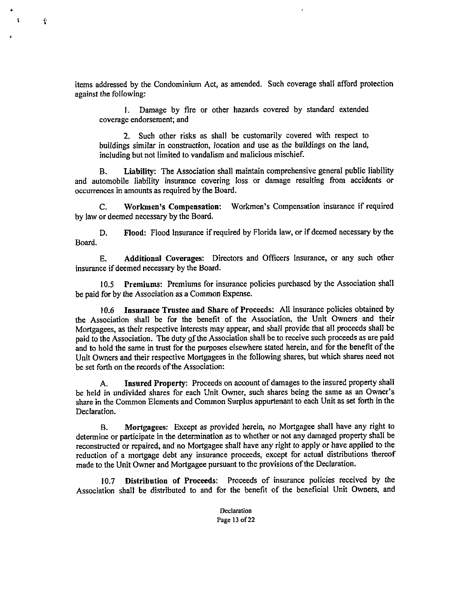items addressed by the Condominium Act, as amended. Such coverage shall afford protection against the following:

t

1. Damage by fire or other hazards covered by standard extended coverage endorsement; and

2. Such other risks as shall be customarily covered with respect to buildings similar in construction, location and use as the buildings on the land, including but not limited to vandalism and malicious mischief.

B. Liability: The Association shall maintain comprehensive general public liability and automobile liability insurance covering loss or damage resulting from accidents or occurrences in amounts as required by the Board.

C. Workmen's Compensation: Workmen's Compensation insurance if required by law or deemed necessary by the Board.

D. Flood: Flood Insurance if required by Florida law, or if deemed necessary by the Board.

E. Additional Coverages: Directors and Officers Insurance, or any such other insurance if deemed necessary by the Board.

10.5 Premiums: Premiums for insurance policies purchased by the Association shall be paid for by the Association as a Common Expense.

10.6 Insurance Trustee and Share of Proceeds: All insurance policies obtained by the Association shall be for the benefit of the Association, the Unit Owners and their Mortgagees, as their respective interests may appear, and shall provide that all proceeds shall be paid to the Association. The duty of the Association shall be to receive such proceeds as are paid and to hold the same in trust for the purposes elsewhere stated herein, and for the benefit of the Unit Owners and their respective Mortgagees in the following shares, but which shares need not be set forth on the records of the Association:

A. Insured Property: Proceeds on account of damages to the insured property shall be held in undivided shares for each Unit Owner, such shares being the same as an Owner's share in the Common Elements and Common Surplus appurtenant to each Unit as set forth in the Declaration.

B. Mortgagees: Except as provided herein, no Mortgagee shall have any right to determine or participate in the determination as to whether or not any damaged property shall be reconstructed or repaired, and no Mortgagee shall have any right to apply or have applied to the reduction of a mortgage debt any insurance proceeds, except for actual distributions thereof made to the Unit Owner and Mortgagee pursuant to the provisions of the Declaration.

10.7 Distribution of Proceeds: Proceeds of insurance policies received by the Association shall be distributed to and for the benefit of the beneficial Unit Owners, and

> **Declaration** Page 13 of 22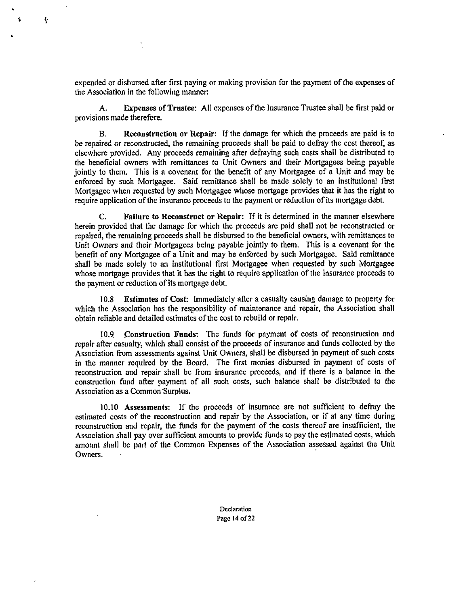expended or disbursed after first paying or making provision for the payment of the expenses of the Association in the following manner:

t

A. Expenses of Trustee: All expenses of the Insurance Trustee shall be first paid or provisions made therefore.

B. Reconstruction or Repair: If the damage for which the proceeds are paid is to be repaired or reconstructed, the remaining proceeds shall be paid to defray the cost thereof, as elsewhere provided. Any proceeds remaining after defraying such costs shall be distributed to the beneficial owners with remittances to Unit Owners and their Mortgagees being payable jointly to them. This is a covenant for the benefit of any Mortgagee of a Unit and may be enforced by such Mortgagee. Said remittance shall be made solely to an institutional first Mortgagee when requested by such Mortgagee whose mortgage provides that it has the right to require application of the insurance proceeds to the payment or reduction of its mortgage debt.

C. Failure to Reconstruct or Repair: If it is determined in the manner elsewhere herein provided that the damage for which the proceeds are paid shall not be reconstructed or repaired, the remaining proceeds shall be disbursed to the beneficial owners, with remittances to Unit Owners and their Mortgagees being payable jointly to them. This is a covenant for the benefit of any Mortgagee of a Unit and may be enforced by such Mortgagee. Said remittance shall be made solely to an institutional first Mortgagee when requested by such Mortgagee whose mortgage provides that it has the right to require application of the insurance proceeds to the payment or reduction of its mortgage debt.

10.8 Estimates of Cost: Immediately after a casualty causing damage to property for which the Association has the responsibility of maintenance and repair, the Association shall obtain reliable and detailed estimates of the cost to rebuild or repair.

10.9 Construction Funds: The funds for payment of costs of reconstruction and repair after casualty, which shall consist of the proceeds of insurance and funds collected by the Association from assessments against Unit Owners, shall be disbursed in payment of such costs in the manner required by the Board. The first monies disbursed in payment of costs of reconstruction and repair shall be from insurance proceeds, and if there is a balance in the construction fund after payment of all such costs, such balance shall be distributed to the Association as a Common Surplus.

10.10 Assessments: If the proceeds of insurance are not sufficient to defray the estimated costs of the reconstruction and repair by the Association, or if at any time during reconstruction and repair, the funds for the payment of the costs thereof are insufficient, the Association shall pay over sufficient amounts to provide funds to pay the estimated costs, which amount shall be part of the Common Expenses of the Association assessed against the Unit Owners.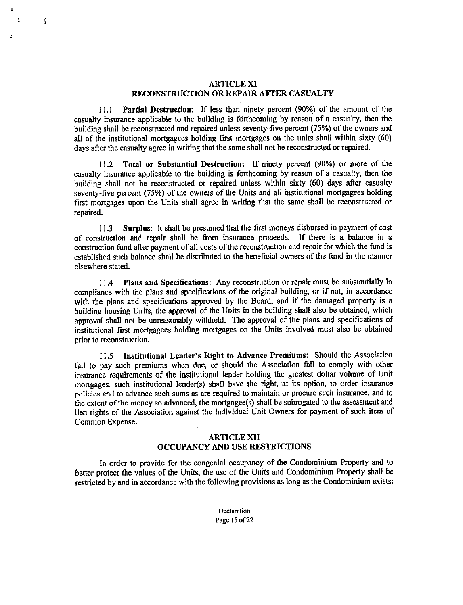#### ARTICLE XI RECONSTRUCTION OR REPAIR AFTER CASUALTY

 $\hat{\boldsymbol{\Sigma}}$ 

11.1 Partial Destruction: If less than ninety percent (90%) of the amount of the casualty insurance applicable to the building is forthcoming by reason of a casualty, then the building shall be reconstructed and repaired unless seventy-five percent (75%) of the owners and all of the institutional mortgagees holding first mortgages on the units shall within sixty (60) days after the casualty agree in writing that the same shall not be reconstructed or repaired.

11.2 Total or Substantial Destruction: If ninety percent (90%) or more of the casualty insurance applicable to the building is forthcoming by reason of a casualty, then the building shall not be reconstructed or repaired unless within sixty (60) days after casualty seventy-five percent (75%) of the owners of the Units and all institutional mortgagees holding first mortgages upon the Units shall agree in writing that the same shall be reconstructed or repaired.

11.3 Surplus: It shall be presumed that the first moneys disbursed in payment of cost of construction and repair shall be from insurance proceeds. If there is a balance in a construction fund after payment of all costs of the reconstruction and repair for which the fund is established such balance shall be distributed to the beneficial owners of the fund in the manner elsewhere stated.

11.4 Plans and Specifications: Any reconstruction or repair must be substantially in compliance with the plans and specifications of the original building, or if not, in accordance with the plans and specifications approved by the Board, and if the damaged property is a building housing Units, the approval of the Units in the building shall also be obtained, which approval shall not be unreasonably withheld. The approval of the plans and specifications of institutional first mortgagees holding mortgages on the Units involved must also be obtained prior to reconstruction.

11.5 Institutional Lender's Right to Advance Premiums: Should the Association fail to pay such premiums when due, or should the Association fail to comply with other insurance requirements of the institutional lender holding the greatest dollar volume of Unit mortgages, such institutional lender(s) shall have the right, at its option, to order insurance policies and to advance such sums as are required to maintain or procure such insurance, and to the extent of the money so advanced, the mortgagee(s) shall be subrogated to the assessment and lien rights of the Association against the individual Unit Owners for payment of such item of Common Expense.

#### ARTICLE XII OCCUPANCY AND USE RESTRICTIONS

In order to provide for the congenial occupancy of the Condominium Property and to better protect the values of the Units, the use of the Units and Condominium Property shall be restricted by and in accordance with the following provisions as long as the Condominium exists:

> Declaration Page 15 of 22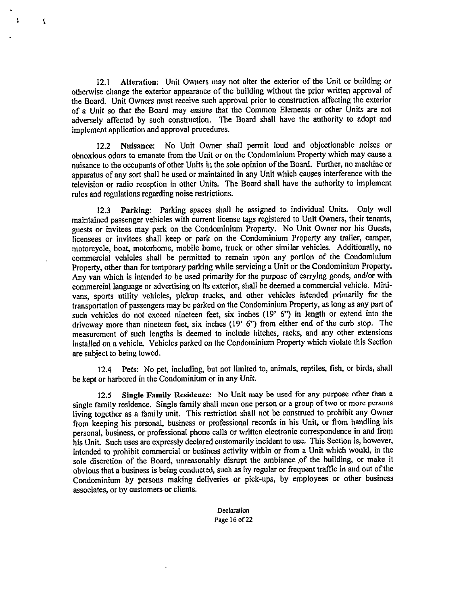12.1 Alteration: Unit Owners may not alter the exterior of the Unit or building or otherwise change the exterior appearance of the building without the prior written approval of the Board. Unit Owners must receive such approval prior to construction affecting the exterior of a Unit so that the Board may ensure that the Common Elements or other Units are not adversely affected by such construction. The Board shall have the authority to adopt and implement application and approval procedures.

 $\pmb{\Omega}$ 

12.2 Nuisance: No Unit Owner shall permit loud and objectionable noises or obnoxious odors to emanate from the Unit or on the Condominium Property which may cause <sup>a</sup> nuisance to the occupants of other Units in the sole opinion of the Board. Further, no machine or apparatus of any sort shall be used or maintained in any Unit which causes interference with the television or radio reception in other Units. The Board shall have the authority to implement rules and regulations regarding noise restrictions.

12.3 Parking: Parking spaces shall be assigned to individual Units. Only well maintained passenger vehicles with current license tags registered to Unit Owners, their tenants, guests or invitees may park on the Condominium Property. No Unit Owner nor his Guests, licensees or invitees shall keep or park on the Condominium Property any trailer, camper, motorcycle, boat, motorhome, mobile home, truck or other similar vehicles. Additionally, no commercial vehicles shall be permitted to remain upon any portion of the Condominium Property, other than for temporary parking while servicing a Unit or the Condominium Property. Any van which is intended to be used primarily for the purpose of carrying goods, and/or with commercial language or advertising on its exterior, shall be deemed a commercial vehicle. Minivans, sports utility vehicles, pickup trucks, and other vehicles intended primarily for the transportation of passengers may be parked on the Condominium Property, as long as any part of such vehicles do not exceed nineteen feet, six inches (19' 6") in length or extend into the driveway more than nineteen feet, six inches (19' 6") from either end of the curb stop. The measurement of such lengths is deemed to include hitches, racks, and any other extensions installed on <sup>a</sup>vehicle. Vehicles parked on the Condominium Property which violate this Section are subject to being towed.

12.4 Pets: No pet, including, but not limited to, animals, reptiles, fish, or birds, shall be kept or harbored in the Condominium or in any Unit.

12.5 Single Family Residence: No Unit may be used for any purpose other than <sup>a</sup> single family residence. Single family shall mean one person or a group of two or more persons living together as <sup>a</sup>family unit. This restriction shall not be construed to prohibit any Owner from keeping his personal, business or professional records in his Unit, or from handling his personal, business, or professional phone calls or written electronic correspondence in and from his Unit. Such uses are expressly declared customarily incident to use. This Section is, however, intended to prohibit commercial or business activity within or from a Unit which would, in the sole discretion of the Board, unreasonably disrupt the ambiance ,of the building, or make it obvious that a business is being conducted, such as by regular or frequent traffic in and out of the Condominium by persons making deliveries or pick-ups, by employees or other business associates, or by customers or clients.

> Declaration Page 16 of 22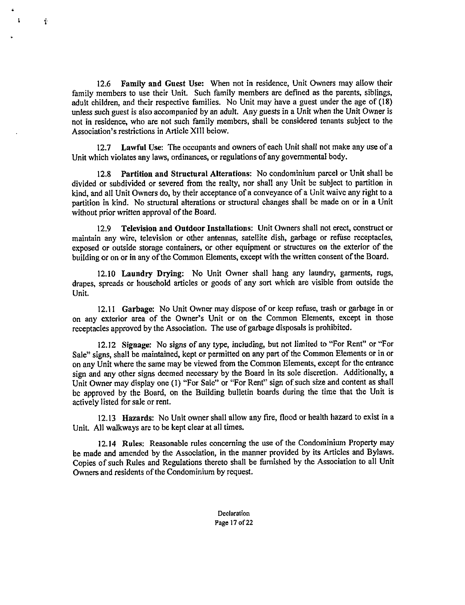12.6 Family and Guest Use: When not in residence, Unit Owners may allow their family members to use their Unit. Such family members are defined as the parents, siblings, adult children, and their respective families. No Unit may have a guest under the age of (18) unless such guest is also accompanied by an adult. Any guests in a Unit when the Unit Owner is not in residence, who are not such family members, shall be considered tenants subject to the Association's restrictions in Article XIII below.

Ŷ

12.7 Lawful Use: The occupants and owners of each Unit shall not make any use of a Unit which violates any laws, ordinances, or regulations of any governmental body.

12.8 Partition and Structural Alterations: No condominium parcel or Unit shall be divided or subdivided or severed from the realty, nor shall any Unit be subject to partition in kind, and all Unit Owners do, by their acceptance of a conveyance of a Unit waive any right to a partition in kind. No structural alterations or structural changes shall be made on or in a Unit without prior written approval of the Board.

12.9 Television and Outdoor Installations: Unit Owners shall not erect, construct or maintain any wire, television or other antennas, satellite dish, garbage or refuse receptacles, exposed or outside storage containers, or other equipment or structures on the exterior of the building or on or in any of the Common Elements, except with the written consent of the Board.

12.10 Laundry Drying: No Unit Owner shall hang any laundry, garments, rugs, drapes, spreads or household articles or goods of any sort which are visible from outside the Unit.

12.11 Garbage: No Unit Owner may dispose of or keep refuse, trash or garbage in or on any exterior area of the Owner's Unit or on the Common Elements, except in those receptacles approved by the Association. The use of garbage disposals is prohibited.

12.12 Signage: No signs of any type, including, but not limited to "For Rent" or "For Sale" signs, shall be maintained, kept or permitted on any part of the Common Elements or in or on any Unit where the same may be viewed from the Common Elements, except for the entrance sign and any other signs deemed necessary by the Board in its sole discretion. Additionally, a Unit Owner may display one (1) "For Sale" or "For Rent" sign of such size and content as shall be approved by the Board, on the Building bulletin boards during the time that the Unit is actively listed for sale or rent.

12.13 Hazards: No Unit owner shall allow any fire, flood or health hazard to exist in a Unit. All walkways are to be kept clear at all times.

12.14 Rules: Reasonable rules concerning the use of the Condominium Property may be made and amended by the Association, in the manner provided by its Articles and Bylaws. Copies of such Rules and Regulations thereto shall be furnished by the Association to all Unit Owners and residents of the Condominium by request.

> Declaration Page 17 of 22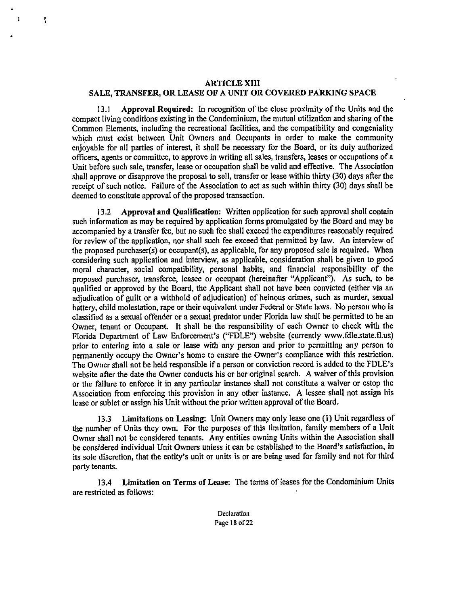## ARTICLE XIII SALE, TRANSFER, OR LEASE OF A UNIT OR COVERED PARKING SPACE

ī

13.1 Approval Required: In recognition of the close proximity of the Units and the compact living conditions existing in the Condominium, the mutual utilization and sharing of the Common Elements, including the recreational facilities, and the compatibility and congeniality which must exist between Unit Owners and Occupants in order to make the community enjoyable for all parties of interest, it shall be necessary for the Board, or its duly authorized officers, agents or committee, to approve in writing all sales, transfers, leases or occupations of a Unit before such sale, transfer, lease or occupation shall be valid and effective. The Association shall approve or disapprove the proposal to sell, transfer or lease within thirty (30) days after the receipt of such notice. Failure of the Association to act as such within thirty (30) days shall be deemed to constitute approval of the proposed transaction.

13.2 Approval and Qualification: Written application for such approval shall contain such information as may be required by application forms promulgated by the Board and may be accompanied by a transfer fee, but no such fee shall exceed the expenditures reasonably required for review of the application, nor shall such fee exceed that permitted by law. An interview of the proposed purchaser(s) or occupant(s), as applicable, for any proposed sale is required. When considering such application and interview, as applicable, consideration shall be given to good moral character, social compatibility, personal habits, and financial responsibility of the proposed purchaser, transferee, leasee or occupant (hereinafter "Applicant"). As such, to be qualified or approved by the Board, the Applicant shall not have been convicted (either via an adjudication of guilt or a withhold of adjudication) of heinous crimes, such as murder, sexual battery, child molestation, rape or their equivalent under Federal or State laws. No person who is classified as a sexual offender or a sexual predator under Florida law shall be permitted to be an Owner, tenant or Occupant. It shall be the responsibility of each Owner to check with the Florida Department of Law Enforcement's ("FDLE") website (currently www.fdle.state.fl.us) prior to entering into a sale or lease with any person and prior to permitting any person to permanently occupy the Owner's home to ensure the Owner's compliance with this restriction. The Owner shall not be held responsible if a person or conviction record is added to the FDLE's website after the date the Owner conducts his or her original search. A waiver of this provision or the failure to enforce it in any particular instance shall not constitute a waiver or estop the Association from enforcing this provision in any other instance. A lessee shall not assign his lease or sublet or assign his Unit without the prior written approval of the Board.

13.3 Limitations on Leasing: Unit Owners may only lease one (I) Unit regardless of the number of Units they own. For the purposes of this limitation, family members of a Unit Owner shall not be considered tenants. Any entities owning Units within the Association shall be considered individual Unit Owners unless it can be established to the Board's satisfaction, in its sole discretion, that the entity's unit or units is or are being used for family and not for third party tenants.

13.4 Limitation on Terms of Lease: The terms of leases for the Condominium Units are restricted as follows:

> Declaration Page 18 of 22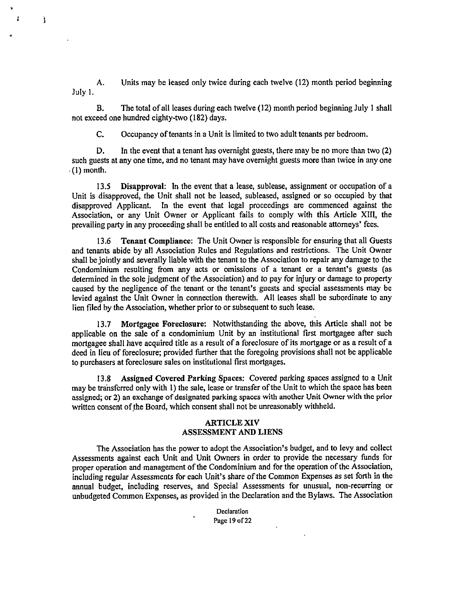A. Units may be leased only twice during each twelve (12) month period beginning July 1.

 $\ddot{\phantom{a}}$ ł.

Ì

B. The total of all leases during each twelve (12) month period beginning July 1 shall not exceed one hundred eighty-two (182) days.

C. Occupancy of tenants in a Unit is limited to two adult tenants per bedroom.

D. In the event that a tenant has overnight guests, there may be no more than two (2) such guests at any one time, and no tenant may have overnight guests more than twice in any one (I) month.

13.5 Disapproval: In the event that a lease, sublease, assignment or occupation of a Unit is disapproved, the Unit shall not be leased, subleased, assigned or so occupied by that disapproved Applicant. In the event that legal proceedings are commenced against the Association, or any Unit Owner or Applicant fails to comply with this Article XIII, the prevailing party in any proceeding shall be entitled to all costs and reasonable attorneys' fees.

13.6 Tenant Compliance: The Unit Owner is responsible for ensuring that all Guests and tenants abide by all Association Rules and Regulations and restrictions. The Unit Owner shall be jointly and severally liable with the tenant to the Association to repair any damage to the Condominium resulting from any acts or omissions of a tenant or a tenant's guests (as determined in the sole judgment of the Association) and to pay for injury or damage to property caused by the negligence of the tenant or the tenant's guests and special assessments may be levied against the Unit Owner in connection therewith. All leases shall be subordinate to any lien filed by the Association, whether prior to or subsequent to such lease.

13.7 Mortgagee Foreclosure: Notwithstanding the above, this Article shall not be applicable on the sale of a condominium Unit by an institutional first mortgagee after such mortgagee shall have acquired title as a result of a foreclosure of its mortgage or as a result of a deed in lieu of foreclosure; provided further that the foregoing provisions shall not be applicable to purchasers at foreclosure sales on institutional first mortgages.

13.8 Assigned Covered Parking Spaces: Covered parking spaces assigned to a Unit may be transferred only with 1) the sale, lease or transfer of the Unit to which the space has been assigned; or 2) an exchange of designated parking spaces with another Unit Owner with the prior written consent of the Board, which consent shall not be unreasonably withheld.

#### ARTICLE XIV ASSESSMENT AND LIENS

The Association has the power to adopt the Association's budget, and to levy and collect Assessments against each Unit and Unit Owners in order to provide the necessary funds for proper operation and management of the Condominium and for the operation of the Association, including regular Assessments for each Unit's share of the Common Expenses as set forth in the annual budget, including reserves, and Special Assessments for unusual, non-recurring or unbudgeted Common Expenses, as provided in the Declaration and the Bylaws. The Association

> Declaration Page 19 of 22

 $\ddot{\phantom{a}}$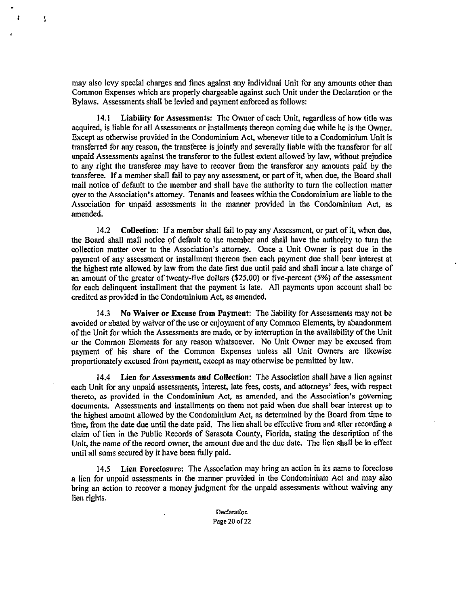may also levy special charges and fines against any individual Unit for any amounts other than Common Expenses which are properly chargeable against such Unit under the Declaration or the Bylaws. Assessments shall be levied and payment enforced as follows:

I

14.1 Liability for Assessments: The Owner of each Unit, regardless of how title was acquired, is liable for all Assessments or installments thereon coming due while he is the Owner. Except as otherwise provided in the Condominium Act, whenever title to a Condominium Unit is transferred for any reason, the transferee is jointly and severally liable with the transferor for all unpaid Assessments against the transferor to the fullest extent allowed by law, without prejudice to any right the transferee may have to recover from the transferor any amounts paid by the transferee. If a member shall fail to pay any assessment, or part of it, when due, the Board shall mail notice of default to the member and shall have the authority to turn the collection matter over to the Association's attorney. Tenants and leasees within the Condominium are liable to the Association for unpaid assessments in the manner provided in the Condominium Act, as amended.

14.2 Collection: If a member shall fail to pay any Assessment, or part of it, when due, the Board shall mail notice of default to the member and shall have the authority to turn the collection matter over to the Association's attorney. Once a Unit Owner is past due in the payment of any assessment or installment thereon then each payment due shall bear interest at the highest rate allowed by law from the date first due until paid and shall incur a late charge of an amount of the greater of twenty-five dollars (\$25.00) or five-percent (5%) of the assessment for each delinquent installment that the payment is late. All payments upon account shall be credited as provided in the Condominium Act, as amended.

14.3 No Waiver or Excuse from Payment: The liability for Assessments may not be avoided or abated by waiver of the use or enjoyment of any Common Elements, by abandonment of the Unit for which the Assessments are made, or by interruption in the availability of the Unit or the Common Elements for any reason whatsoever. No Unit Owner may be excused from payment of his share of the Common Expenses unless all Unit Owners are likewise proportionately excused from payment, except as may otherwise be permitted by law.

14.4 Lien for Assessments and Collection: The Association shall have a lien against each Unit for any unpaid assessments, interest, late fees, costs, and attorneys' fees, with respect thereto, as provided in the Condominium Act, as amended, and the Association's governing documents. Assessments and installments on them not paid when due shall bear interest up to the highest amount allowed by the Condominium Act, as determined by the Board from time to time, from the date due until the date paid. The lien shall be effective from and after recording a claim of lien in the Public Records of Sarasota County, Florida, stating the description of the Unit, the name of the record owner, the amount due and the due date. The lien shall be in effect until all sums secured by it have been fully paid.

14.5 Lien Foreclosure: The Association may bring an action in its name to foreclose a lien for unpaid assessments in the manner provided in the Condominium Act and may also bring an action to recover a money judgment for the unpaid assessments without waiving any lien rights.

> Declaration Page 20 of 22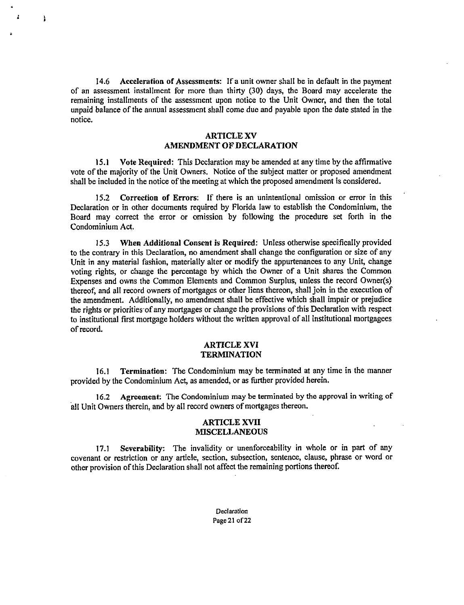14.6 Acceleration of Assessments: If a unit owner shall be in default in the payment of an assessment installment for more than thirty (30) days, the Board may accelerate the remaining installments of the assessment upon notice to the Unit Owner, and then the total unpaid balance of the annual assessment shall come due and payable upon the date stated in the notice.

ì

## ARTICLE XV AMENDMENT OF DECLARATION

15.1 Vote Required: This Declaration may be amended at any time by the affirmative vote of the majority of the Unit Owners. Notice of the subject matter or proposed amendment shall be included in the notice of the meeting at which the proposed amendment is considered.

15.2 Correction of Errors: If there is an unintentional omission or error in this Declaration or in other documents required by Florida law to establish the Condominium, the Board may correct the error or omission by following the procedure set forth in the Condominium Act.

15.3 When Additional Consent is Required: Unless otherwise specifically provided to the contrary in this Declaration, no amendment shall change the configuration or size of any Unit in any material fashion, materially alter or modify the appurtenances to any Unit, change voting rights, or change the percentage by which the Owner of a Unit shares the Common Expenses and owns the Common Elements and Common Surplus, unless the record Owner(s) thereof, and all record owners of mortgages or other liens thereon, shall join in the execution of the amendment. Additionally, no amendment shall be effective which shall impair or prejudice the rights or priorities of any mortgages or change the provisions of this Declaration with respect to institutional first mortgage holders without the written approval of all institutional mortgagees of record.

#### ARTICLE XVI **TERMINATION**

16.1 Termination: The Condominium may be terminated at any time in the manner provided by the Condominium Act, as amended, or as further provided herein.

16.2 Agreement: The Condominium may be terminated by the approval in writing of all Unit Owners therein, and by all record owners of mortgages thereon.

#### ARTICLE XVII **MISCELLANEOUS**

17.1 Severability: The invalidity or unenforceability in whole or in part of any covenant or restriction or any article, section, subsection, sentence, clause, phrase or word or other provision of this Declaration shall not affect the remaining portions thereof.

> **Declaration** Page 21 of 22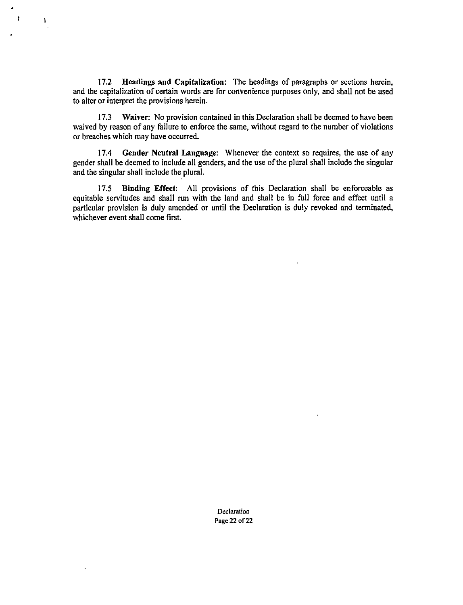17.2 Headings and Capitalization: The headings of paragraphs or sections herein, and the capitalization of certain words are for convenience purposes only, and shall not be used to alter or interpret the provisions herein.

 $\mathbf{r}$ z

1

17.3 Waiver: No provision contained in this Declaration shall be deemed to have been waived by reason of any failure to enforce the same, without regard to the number of violations or breaches which may have occurred.

17.4 Gender Neutral Language: Whenever the context so requires, the use of any gender shall be deemed to include all genders, and the use of the plural shall include the singular and the singular shall include the plural.

17.5 Binding Effect: All provisions of this Declaration shall be enforceable as equitable servitudes and shall run with the land and shall be in full force and effect until a particular provision is duly amended or until the Declaration is duly revoked and terminated, whichever event shall come first.

> Declaration Page 22 of 22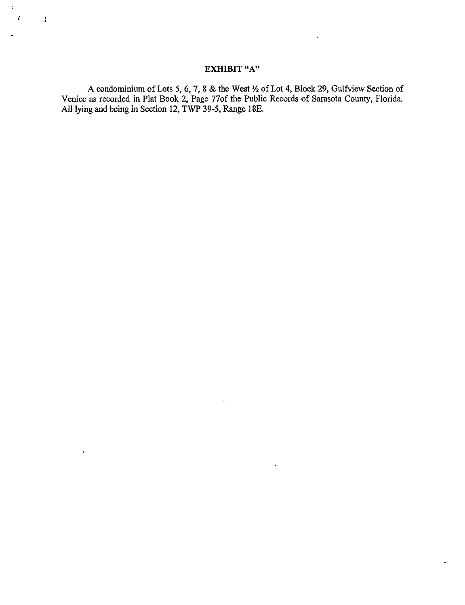# EXHIBIT "A"

Ì

 $\ddot{\phantom{a}}$ 

A condominium of Lots 5, 6, 7, 8 & the West  $\frac{1}{2}$  of Lot 4, Block 29, Gulfview Section of Venice as recorded in Plat Book 2, Page 77of the Public Records of Sarasota County, Florida. All lying and being in Section 12, TWP 39-5, Range I 8E.

 $\ddot{\phantom{0}}$ 

 $\cdot$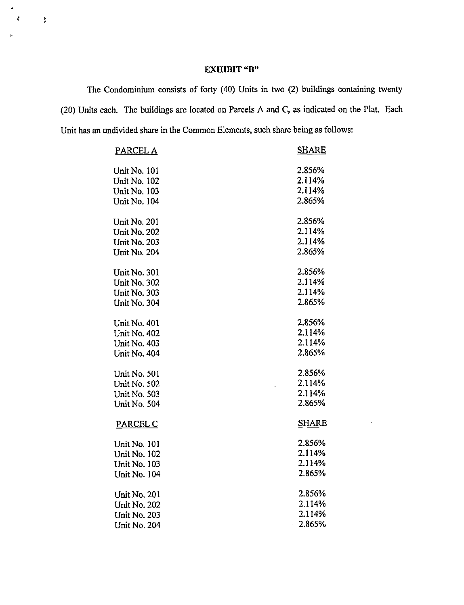## EXHIBIT "B"

 $\ddot{\phantom{a}}$ Ł

 $\pmb{\}}$ 

The Condominium consists of forty (40) Units in two (2) buildings containing twenty (20) Units each. The buildings are located on Parcels A and C, as indicated on the Plat. Each Unit has an undivided share in the Common Elements, such share being as follows:

| PARCEL A            | <b>SHARE</b> |
|---------------------|--------------|
| Unit No. 101        | 2.856%       |
| <b>Unit No. 102</b> | 2.114%       |
| Unit No. 103        | 2.114%       |
| Unit No. 104        | 2.865%       |
| <b>Unit No. 201</b> | 2.856%       |
| <b>Unit No. 202</b> | 2.114%       |
| Unit No. 203        | 2.114%       |
| Unit No. 204        | 2.865%       |
| Unit No. 301        | 2.856%       |
| Unit No. 302        | 2.114%       |
| Unit No. 303        | 2.114%       |
| Unit No. 304        | 2.865%       |
| Unit No. 401        | 2.856%       |
| Unit No. 402        | 2.114%       |
| Unit No. 403        | 2.114%       |
| Unit No. 404        | 2.865%       |
| Unit No. 501        | 2.856%       |
| Unit No. 502        | 2.114%       |
| Unit No. 503        | 2.114%       |
| Unit No. 504        | 2.865%       |
| PARCEL C            | <b>SHARE</b> |
| Unit No. 101        | 2.856%       |
| Unit No. 102        | 2.114%       |
| Unit No. 103        | 2.114%       |
| Unit No. 104        | 2.865%       |
| Unit No. 201        | 2.856%       |
| Unit No. 202        | 2.114%       |
| Unit No. 203        | 2.114%       |
| Unit No. 204        | $-2.865%$    |